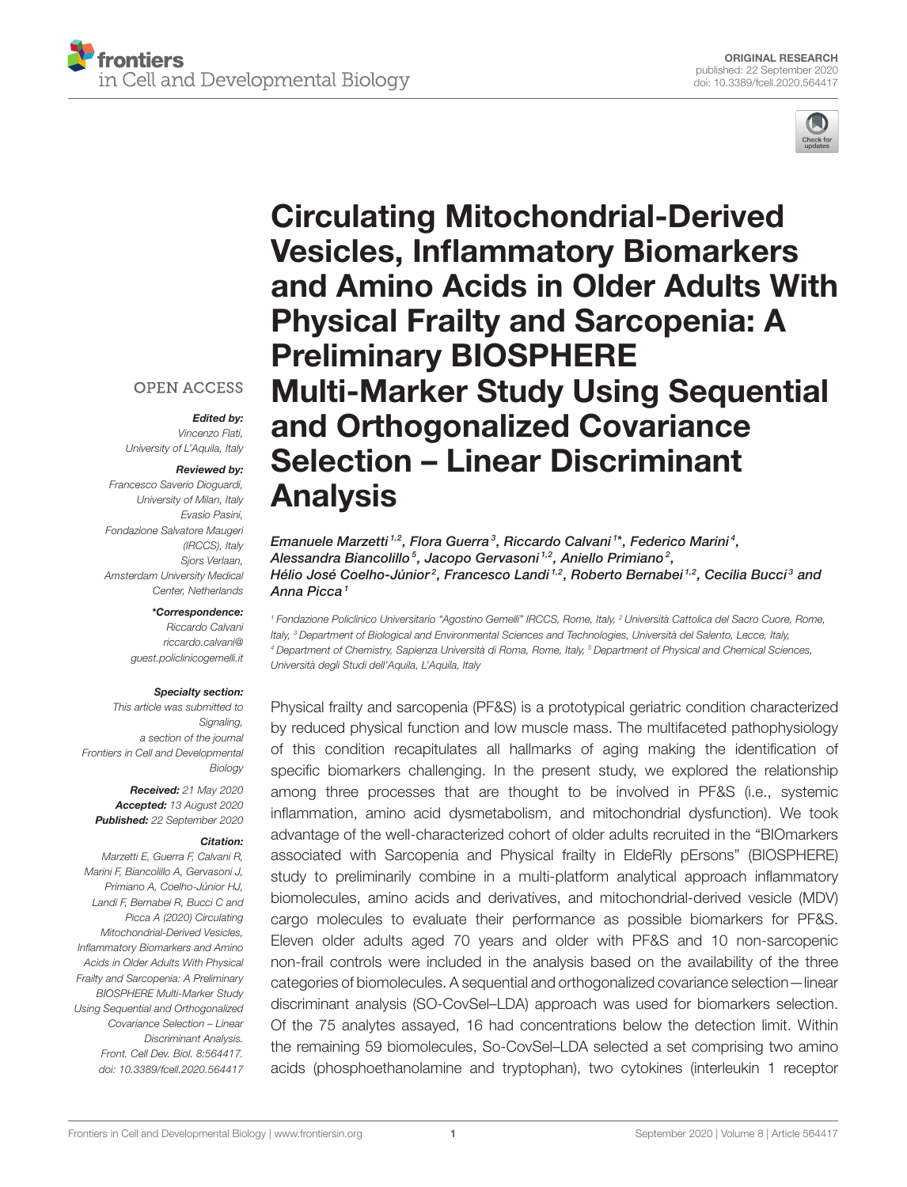

# Circulating Mitochondrial-Derived Vesicles, Inflammatory Biomarkers [and Amino Acids in Older Adults With](https://www.frontiersin.org/articles/10.3389/fcell.2020.564417/full) Physical Frailty and Sarcopenia: A Preliminary BIOSPHERE Multi-Marker Study Using Sequential and Orthogonalized Covariance Selection – Linear Discriminant Analysis

Emanuele Marzetti<sup>1,2</sup>, Flora Guerra<sup>3</sup>, Riccardo Calvani<sup>1\*</sup>, Federico Marini<sup>4</sup>, Alessandra Biancolillo<sup>5</sup>, Jacopo Gervasoni<sup>1,2</sup>, Aniello Primiano<sup>2</sup>, Hélio José Coelho-Júnior<sup>2</sup>, Francesco Landi <sup>1,2</sup>, Roberto Bernabei <sup>1,2</sup>, Cecilia Bucci<sup>3</sup> and Anna Picca<sup>1</sup>

<sup>1</sup> Fondazione Policlinico Universitario "Agostino Gemelli" IRCCS, Rome, Italy, <sup>2</sup> Università Cattolica del Sacro Cuore, Rome, Italy, <sup>3</sup> Department of Biological and Environmental Sciences and Technologies, Università del Salento, Lecce, Italy, <sup>4</sup> Department of Chemistry, Sapienza Università di Roma, Rome, Italy, <sup>5</sup> Department of Physical and Chemical Sciences, Università degli Studi dell'Aquila, L'Aquila, Italy

Physical frailty and sarcopenia (PF&S) is a prototypical geriatric condition characterized by reduced physical function and low muscle mass. The multifaceted pathophysiology of this condition recapitulates all hallmarks of aging making the identification of specific biomarkers challenging. In the present study, we explored the relationship among three processes that are thought to be involved in PF&S (i.e., systemic inflammation, amino acid dysmetabolism, and mitochondrial dysfunction). We took advantage of the well-characterized cohort of older adults recruited in the "BIOmarkers associated with Sarcopenia and Physical frailty in EldeRly pErsons" (BIOSPHERE) study to preliminarily combine in a multi-platform analytical approach inflammatory biomolecules, amino acids and derivatives, and mitochondrial-derived vesicle (MDV) cargo molecules to evaluate their performance as possible biomarkers for PF&S. Eleven older adults aged 70 years and older with PF&S and 10 non-sarcopenic non-frail controls were included in the analysis based on the availability of the three categories of biomolecules. A sequential and orthogonalized covariance selection—linear discriminant analysis (SO-CovSel–LDA) approach was used for biomarkers selection. Of the 75 analytes assayed, 16 had concentrations below the detection limit. Within the remaining 59 biomolecules, So-CovSel–LDA selected a set comprising two amino acids (phosphoethanolamine and tryptophan), two cytokines (interleukin 1 receptor

#### **OPEN ACCESS**

Edited by:

Vincenzo Flati, University of L'Aquila, Italy

#### Reviewed by:

Francesco Saverio Dioguardi, University of Milan, Italy Evasio Pasini, Fondazione Salvatore Maugeri (IRCCS), Italy Sjors Verlaan, Amsterdam University Medical Center, Netherlands

#### \*Correspondence:

Riccardo Calvani [riccardo.calvani@](mailto:riccardo.calvani@guest.policlinicogemelli.it) [guest.policlinicogemelli.it](mailto:riccardo.calvani@guest.policlinicogemelli.it)

#### Specialty section:

This article was submitted to Signaling, a section of the journal Frontiers in Cell and Developmental Biology

Received: 21 May 2020 Accepted: 13 August 2020 Published: 22 September 2020

#### Citation:

Marzetti E, Guerra F, Calvani R, Marini F, Biancolillo A, Gervasoni J, Primiano A, Coelho-Júnior HJ, Landi F, Bernabei R, Bucci C and Picca A (2020) Circulating Mitochondrial-Derived Vesicles, Inflammatory Biomarkers and Amino Acids in Older Adults With Physical Frailty and Sarcopenia: A Preliminary BIOSPHERE Multi-Marker Study Using Sequential and Orthogonalized Covariance Selection – Linear Discriminant Analysis. Front. Cell Dev. Biol. 8:564417. doi: [10.3389/fcell.2020.564417](https://doi.org/10.3389/fcell.2020.564417)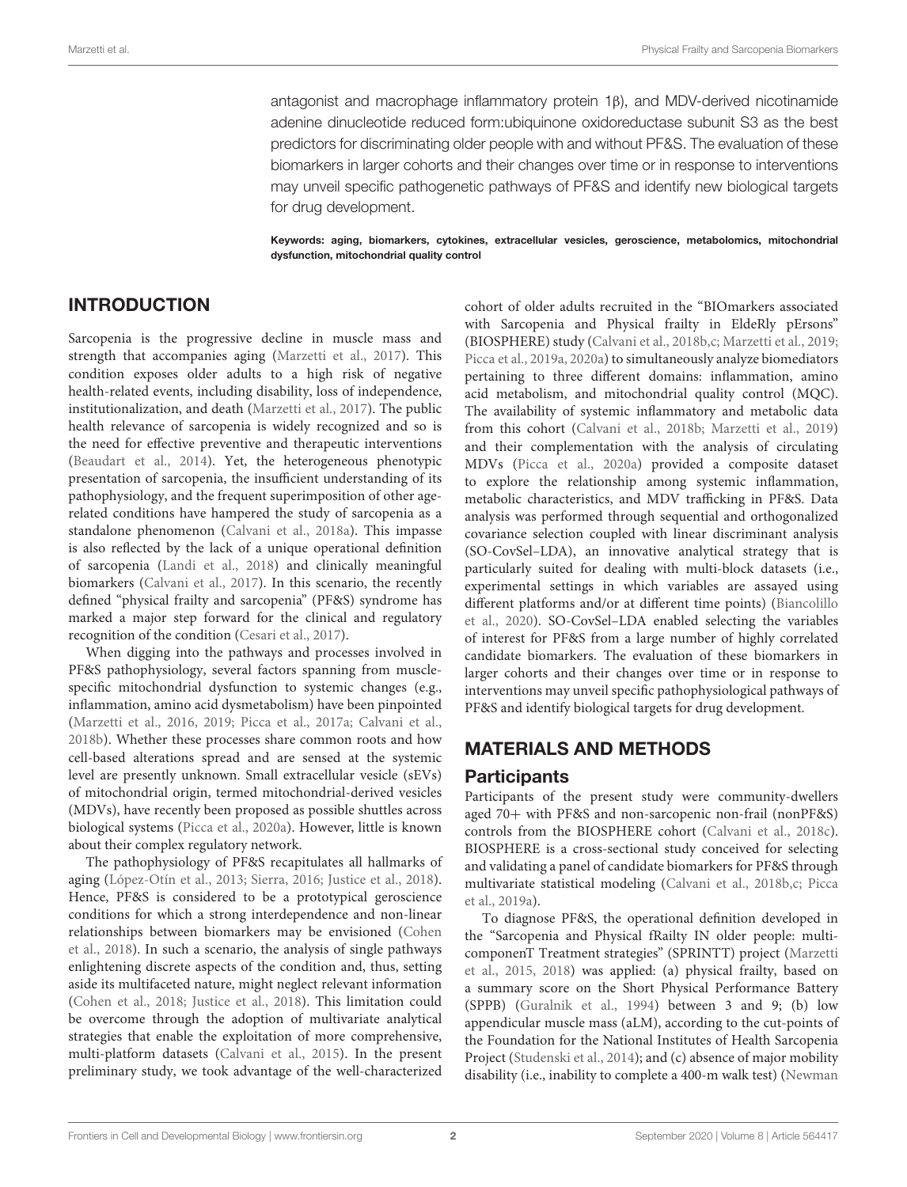antagonist and macrophage inflammatory protein 1β), and MDV-derived nicotinamide adenine dinucleotide reduced form:ubiquinone oxidoreductase subunit S3 as the best predictors for discriminating older people with and without PF&S. The evaluation of these biomarkers in larger cohorts and their changes over time or in response to interventions may unveil specific pathogenetic pathways of PF&S and identify new biological targets for drug development.

Keywords: aging, biomarkers, cytokines, extracellular vesicles, geroscience, metabolomics, mitochondrial dysfunction, mitochondrial quality control

# INTRODUCTION

Sarcopenia is the progressive decline in muscle mass and strength that accompanies aging [\(Marzetti et al., 2017\)](#page-8-0). This condition exposes older adults to a high risk of negative health-related events, including disability, loss of independence, institutionalization, and death [\(Marzetti et al., 2017\)](#page-8-0). The public health relevance of sarcopenia is widely recognized and so is the need for effective preventive and therapeutic interventions [\(Beaudart et al., 2014\)](#page-7-0). Yet, the heterogeneous phenotypic presentation of sarcopenia, the insufficient understanding of its pathophysiology, and the frequent superimposition of other agerelated conditions have hampered the study of sarcopenia as a standalone phenomenon [\(Calvani et al., 2018a\)](#page-7-1). This impasse is also reflected by the lack of a unique operational definition of sarcopenia [\(Landi et al., 2018\)](#page-8-1) and clinically meaningful biomarkers [\(Calvani et al., 2017\)](#page-7-2). In this scenario, the recently defined "physical frailty and sarcopenia" (PF&S) syndrome has marked a major step forward for the clinical and regulatory recognition of the condition [\(Cesari et al., 2017\)](#page-7-3).

When digging into the pathways and processes involved in PF&S pathophysiology, several factors spanning from musclespecific mitochondrial dysfunction to systemic changes (e.g., inflammation, amino acid dysmetabolism) have been pinpointed [\(Marzetti et al., 2016,](#page-8-2) [2019;](#page-8-3) [Picca et al., 2017a;](#page-8-4) [Calvani et al.,](#page-7-4) [2018b\)](#page-7-4). Whether these processes share common roots and how cell-based alterations spread and are sensed at the systemic level are presently unknown. Small extracellular vesicle (sEVs) of mitochondrial origin, termed mitochondrial-derived vesicles (MDVs), have recently been proposed as possible shuttles across biological systems [\(Picca et al., 2020a\)](#page-8-5). However, little is known about their complex regulatory network.

The pathophysiology of PF&S recapitulates all hallmarks of aging [\(López-Otín et al., 2013;](#page-8-6) [Sierra, 2016;](#page-8-7) [Justice et al., 2018\)](#page-8-8). Hence, PF&S is considered to be a prototypical geroscience conditions for which a strong interdependence and non-linear relationships between biomarkers may be envisioned (Cohen et al., [2018\)](#page-7-5). In such a scenario, the analysis of single pathways enlightening discrete aspects of the condition and, thus, setting aside its multifaceted nature, might neglect relevant information [\(Cohen et al., 2018;](#page-7-5) [Justice et al., 2018\)](#page-8-8). This limitation could be overcome through the adoption of multivariate analytical strategies that enable the exploitation of more comprehensive, multi-platform datasets [\(Calvani et al., 2015\)](#page-7-6). In the present preliminary study, we took advantage of the well-characterized cohort of older adults recruited in the "BIOmarkers associated with Sarcopenia and Physical frailty in EldeRly pErsons" (BIOSPHERE) study [\(Calvani et al., 2018b,](#page-7-4)[c;](#page-7-7) [Marzetti et al., 2019;](#page-8-3) [Picca et al., 2019a,](#page-8-9) [2020a\)](#page-8-5) to simultaneously analyze biomediators pertaining to three different domains: inflammation, amino acid metabolism, and mitochondrial quality control (MQC). The availability of systemic inflammatory and metabolic data from this cohort [\(Calvani et al., 2018b;](#page-7-4) [Marzetti et al., 2019\)](#page-8-3) and their complementation with the analysis of circulating MDVs [\(Picca et al., 2020a\)](#page-8-5) provided a composite dataset to explore the relationship among systemic inflammation, metabolic characteristics, and MDV trafficking in PF&S. Data analysis was performed through sequential and orthogonalized covariance selection coupled with linear discriminant analysis (SO-CovSel–LDA), an innovative analytical strategy that is particularly suited for dealing with multi-block datasets (i.e., experimental settings in which variables are assayed using different platforms and/or at different time points) (Biancolillo et al., [2020\)](#page-7-8). SO-CovSel–LDA enabled selecting the variables of interest for PF&S from a large number of highly correlated candidate biomarkers. The evaluation of these biomarkers in larger cohorts and their changes over time or in response to interventions may unveil specific pathophysiological pathways of PF&S and identify biological targets for drug development.

# MATERIALS AND METHODS

### **Participants**

Participants of the present study were community-dwellers aged 70+ with PF&S and non-sarcopenic non-frail (nonPF&S) controls from the BIOSPHERE cohort [\(Calvani et al., 2018c\)](#page-7-7). BIOSPHERE is a cross-sectional study conceived for selecting and validating a panel of candidate biomarkers for PF&S through multivariate statistical modeling [\(Calvani et al., 2018b,](#page-7-4)[c;](#page-7-7) Picca et al., [2019a\)](#page-8-9).

To diagnose PF&S, the operational definition developed in the "Sarcopenia and Physical fRailty IN older people: multicomponenT Treatment strategies" (SPRINTT) project (Marzetti et al., [2015,](#page-8-10) [2018\)](#page-8-11) was applied: (a) physical frailty, based on a summary score on the Short Physical Performance Battery (SPPB) [\(Guralnik et al., 1994\)](#page-8-12) between 3 and 9; (b) low appendicular muscle mass (aLM), according to the cut-points of the Foundation for the National Institutes of Health Sarcopenia Project [\(Studenski et al., 2014\)](#page-9-0); and (c) absence of major mobility disability (i.e., inability to complete a 400-m walk test) (Newman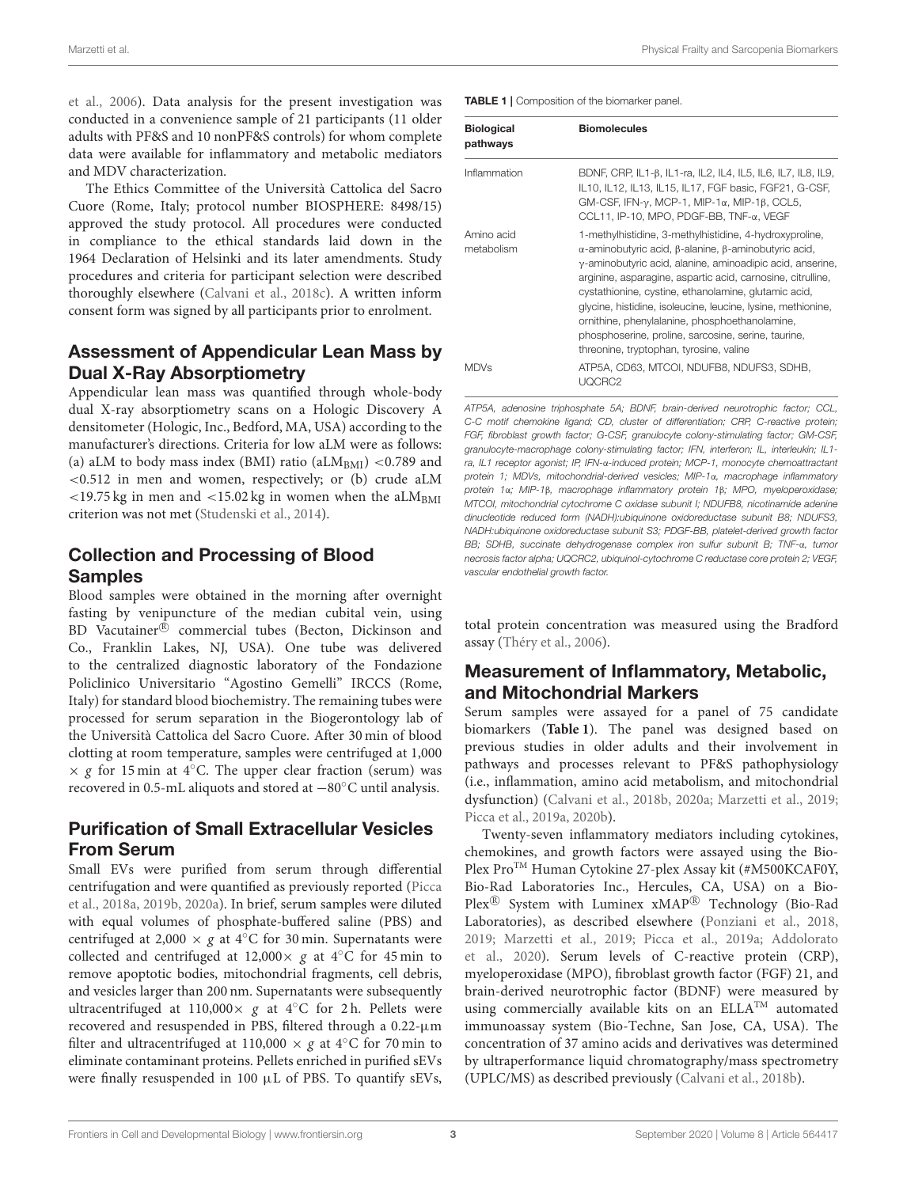et al., [2006\)](#page-8-13). Data analysis for the present investigation was conducted in a convenience sample of 21 participants (11 older adults with PF&S and 10 nonPF&S controls) for whom complete data were available for inflammatory and metabolic mediators and MDV characterization.

The Ethics Committee of the Università Cattolica del Sacro Cuore (Rome, Italy; protocol number BIOSPHERE: 8498/15) approved the study protocol. All procedures were conducted in compliance to the ethical standards laid down in the 1964 Declaration of Helsinki and its later amendments. Study procedures and criteria for participant selection were described thoroughly elsewhere [\(Calvani et al., 2018c\)](#page-7-7). A written inform consent form was signed by all participants prior to enrolment.

## Assessment of Appendicular Lean Mass by Dual X-Ray Absorptiometry

Appendicular lean mass was quantified through whole-body dual X-ray absorptiometry scans on a Hologic Discovery A densitometer (Hologic, Inc., Bedford, MA, USA) according to the manufacturer's directions. Criteria for low aLM were as follows: (a) aLM to body mass index (BMI) ratio (aLM<sub>BMI</sub>) <0.789 and <0.512 in men and women, respectively; or (b) crude aLM  $<$ 19.75 kg in men and  $<$ 15.02 kg in women when the aLM<sub>BMI</sub> criterion was not met [\(Studenski et al., 2014\)](#page-9-0).

# Collection and Processing of Blood Samples

Blood samples were obtained in the morning after overnight fasting by venipuncture of the median cubital vein, using BD Vacutainer® commercial tubes (Becton, Dickinson and Co., Franklin Lakes, NJ, USA). One tube was delivered to the centralized diagnostic laboratory of the Fondazione Policlinico Universitario "Agostino Gemelli" IRCCS (Rome, Italy) for standard blood biochemistry. The remaining tubes were processed for serum separation in the Biogerontology lab of the Università Cattolica del Sacro Cuore. After 30 min of blood clotting at room temperature, samples were centrifuged at 1,000  $\times g$  for 15 min at 4 $°C$ . The upper clear fraction (serum) was recovered in 0.5-mL aliquots and stored at −80◦C until analysis.

# Purification of Small Extracellular Vesicles From Serum

Small EVs were purified from serum through differential centrifugation and were quantified as previously reported (Picca et al., [2018a,](#page-8-14) [2019b,](#page-8-15) [2020a\)](#page-8-5). In brief, serum samples were diluted with equal volumes of phosphate-buffered saline (PBS) and centrifuged at 2,000  $\times$  g at 4 $°C$  for 30 min. Supernatants were collected and centrifuged at 12,000 $\times$  g at 4 $°C$  for 45 min to remove apoptotic bodies, mitochondrial fragments, cell debris, and vesicles larger than 200 nm. Supernatants were subsequently ultracentrifuged at 110,000 $\times$  g at 4°C for 2 h. Pellets were recovered and resuspended in PBS, filtered through a 0.22-µm filter and ultracentrifuged at 110,000  $\times$  g at 4°C for 70 min to eliminate contaminant proteins. Pellets enriched in purified sEVs were finally resuspended in 100 µL of PBS. To quantify sEVs, <span id="page-2-0"></span>TABLE 1 | Composition of the biomarker panel.

| <b>Biological</b><br>pathways | <b>Biomolecules</b>                                                                                                                                                                                                                                                                                                                                                                                                                                                                                                                      |  |  |  |  |
|-------------------------------|------------------------------------------------------------------------------------------------------------------------------------------------------------------------------------------------------------------------------------------------------------------------------------------------------------------------------------------------------------------------------------------------------------------------------------------------------------------------------------------------------------------------------------------|--|--|--|--|
| Inflammation                  | BDNF, CRP, IL1-β, IL1-ra, IL2, IL4, IL5, IL6, IL7, IL8, IL9,<br>IL10, IL12, IL13, IL15, IL17, FGF basic, FGF21, G-CSF,<br>GM-CSF, IFN- $\gamma$ , MCP-1, MIP-1 $\alpha$ , MIP-1 $\beta$ , CCL5,<br>CCL11, IP-10, MPO, PDGF-BB, TNF-α, VEGF                                                                                                                                                                                                                                                                                               |  |  |  |  |
| Amino acid<br>metabolism      | 1-methylhistidine, 3-methylhistidine, 4-hydroxyproline,<br>$α$ -aminobutyric acid, $β$ -alanine, $β$ -aminobutyric acid,<br>$\gamma$ -aminobutyric acid, alanine, aminoadipic acid, anserine,<br>arginine, asparagine, aspartic acid, carnosine, citrulline,<br>cystathionine, cystine, ethanolamine, glutamic acid,<br>glycine, histidine, isoleucine, leucine, lysine, methionine,<br>ornithine, phenylalanine, phosphoethanolamine,<br>phosphoserine, proline, sarcosine, serine, taurine,<br>threonine, tryptophan, tyrosine, valine |  |  |  |  |
| <b>MDVs</b>                   | ATP5A, CD63, MTCOI, NDUFB8, NDUFS3, SDHB,<br>UQCRC2                                                                                                                                                                                                                                                                                                                                                                                                                                                                                      |  |  |  |  |

ATP5A, adenosine triphosphate 5A; BDNF, brain-derived neurotrophic factor; CCL, C-C motif chemokine ligand; CD, cluster of differentiation; CRP, C-reactive protein; FGF, fibroblast growth factor; G-CSF, granulocyte colony-stimulating factor; GM-CSF, granulocyte-macrophage colony-stimulating factor; IFN, interferon; IL, interleukin; IL1 ra, IL1 receptor agonist; IP, IFN-α-induced protein; MCP-1, monocyte chemoattractant protein 1; MDVs, mitochondrial-derived vesicles; MIP-1α, macrophage inflammatory protein 1α; MIP-1β, macrophage inflammatory protein 1β; MPO, myeloperoxidase; MTCOI, mitochondrial cytochrome C oxidase subunit I; NDUFB8, nicotinamide adenine dinucleotide reduced form (NADH):ubiquinone oxidoreductase subunit B8; NDUFS3, NADH:ubiquinone oxidoreductase subunit S3; PDGF-BB, platelet-derived growth factor BB; SDHB, succinate dehydrogenase complex iron sulfur subunit B; TNF-α, tumor necrosis factor alpha; UQCRC2, ubiquinol-cytochrome C reductase core protein 2; VEGF, vascular endothelial growth factor.

total protein concentration was measured using the Bradford assay [\(Théry et al., 2006\)](#page-9-1).

# Measurement of Inflammatory, Metabolic, and Mitochondrial Markers

Serum samples were assayed for a panel of 75 candidate biomarkers (**[Table 1](#page-2-0)**). The panel was designed based on previous studies in older adults and their involvement in pathways and processes relevant to PF&S pathophysiology (i.e., inflammation, amino acid metabolism, and mitochondrial dysfunction) [\(Calvani et al., 2018b,](#page-7-4) [2020a;](#page-7-9) [Marzetti et al., 2019;](#page-8-3) [Picca et al., 2019a,](#page-8-9) [2020b\)](#page-8-16).

Twenty-seven inflammatory mediators including cytokines, chemokines, and growth factors were assayed using the Bio-Plex Pro™ Human Cytokine 27-plex Assay kit (#M500KCAF0Y, Bio-Rad Laboratories Inc., Hercules, CA, USA) on a Bio-Plex<sup>®</sup> System with Luminex xMAP<sup>®</sup> Technology (Bio-Rad Laboratories), as described elsewhere [\(Ponziani et al., 2018,](#page-8-17) [2019;](#page-8-18) [Marzetti et al., 2019;](#page-8-3) [Picca et al., 2019a;](#page-8-9) Addolorato et al., [2020\)](#page-7-10). Serum levels of C-reactive protein (CRP), myeloperoxidase (MPO), fibroblast growth factor (FGF) 21, and brain-derived neurotrophic factor (BDNF) were measured by using commercially available kits on an ELLA<sup>TM</sup> automated immunoassay system (Bio-Techne, San Jose, CA, USA). The concentration of 37 amino acids and derivatives was determined by ultraperformance liquid chromatography/mass spectrometry (UPLC/MS) as described previously [\(Calvani et al., 2018b\)](#page-7-4).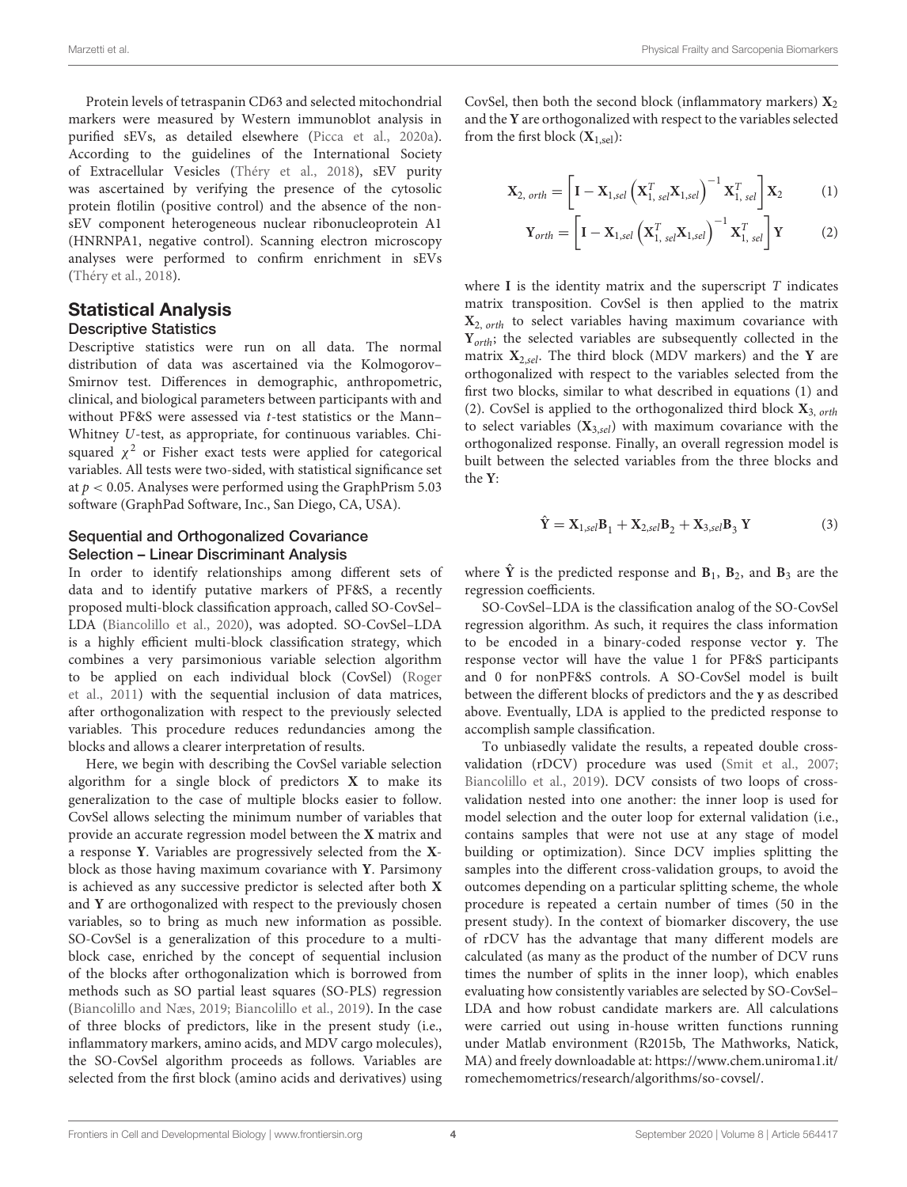Protein levels of tetraspanin CD63 and selected mitochondrial markers were measured by Western immunoblot analysis in purified sEVs, as detailed elsewhere [\(Picca et al., 2020a\)](#page-8-5). According to the guidelines of the International Society of Extracellular Vesicles [\(Théry et al., 2018\)](#page-9-2), sEV purity was ascertained by verifying the presence of the cytosolic protein flotilin (positive control) and the absence of the nonsEV component heterogeneous nuclear ribonucleoprotein A1 (HNRNPA1, negative control). Scanning electron microscopy analyses were performed to confirm enrichment in sEVs [\(Théry et al., 2018\)](#page-9-2).

#### Statistical Analysis Descriptive Statistics

Descriptive statistics were run on all data. The normal distribution of data was ascertained via the Kolmogorov– Smirnov test. Differences in demographic, anthropometric, clinical, and biological parameters between participants with and without PF&S were assessed via t-test statistics or the Mann– Whitney U-test, as appropriate, for continuous variables. Chisquared  $\chi^2$  or Fisher exact tests were applied for categorical variables. All tests were two-sided, with statistical significance set at  $p < 0.05$ . Analyses were performed using the GraphPrism 5.03 software (GraphPad Software, Inc., San Diego, CA, USA).

#### Sequential and Orthogonalized Covariance Selection – Linear Discriminant Analysis

In order to identify relationships among different sets of data and to identify putative markers of PF&S, a recently proposed multi-block classification approach, called SO-CovSel– LDA [\(Biancolillo et al., 2020\)](#page-7-8), was adopted. SO-CovSel–LDA is a highly efficient multi-block classification strategy, which combines a very parsimonious variable selection algorithm to be applied on each individual block (CovSel) (Roger et al., [2011\)](#page-8-19) with the sequential inclusion of data matrices, after orthogonalization with respect to the previously selected variables. This procedure reduces redundancies among the blocks and allows a clearer interpretation of results.

Here, we begin with describing the CovSel variable selection algorithm for a single block of predictors **X** to make its generalization to the case of multiple blocks easier to follow. CovSel allows selecting the minimum number of variables that provide an accurate regression model between the **X** matrix and a response **Y**. Variables are progressively selected from the **X**block as those having maximum covariance with **Y**. Parsimony is achieved as any successive predictor is selected after both **X** and **Y** are orthogonalized with respect to the previously chosen variables, so to bring as much new information as possible. SO-CovSel is a generalization of this procedure to a multiblock case, enriched by the concept of sequential inclusion of the blocks after orthogonalization which is borrowed from methods such as SO partial least squares (SO-PLS) regression [\(Biancolillo and Næs, 2019;](#page-7-11) [Biancolillo et al., 2019\)](#page-7-12). In the case of three blocks of predictors, like in the present study (i.e., inflammatory markers, amino acids, and MDV cargo molecules), the SO-CovSel algorithm proceeds as follows. Variables are selected from the first block (amino acids and derivatives) using CovSel, then both the second block (inflammatory markers)  $X_2$ and the **Y** are orthogonalized with respect to the variables selected from the first block  $(X_{1,sel})$ :

$$
\mathbf{X}_{2, \text{ orth}} = \left[ \mathbf{I} - \mathbf{X}_{1, \text{sel}} \left( \mathbf{X}_{1, \text{ sel}}^{T} \mathbf{X}_{1, \text{sel}} \right)^{-1} \mathbf{X}_{1, \text{ sel}}^{T} \right] \mathbf{X}_{2} \tag{1}
$$

$$
\mathbf{Y}_{orth} = \left[\mathbf{I} - \mathbf{X}_{1,sel}\left(\mathbf{X}_{1,sel}^{T}\mathbf{X}_{1,sel}\right)^{-1}\mathbf{X}_{1,sel}^{T}\right]\mathbf{Y}
$$
 (2)

where  $I$  is the identity matrix and the superscript  $T$  indicates matrix transposition. CovSel is then applied to the matrix **X**2, orth to select variables having maximum covariance with **Y**<sub>orth</sub>; the selected variables are subsequently collected in the matrix  $X_{2,sel}$ . The third block (MDV markers) and the Y are orthogonalized with respect to the variables selected from the first two blocks, similar to what described in equations (1) and (2). CovSel is applied to the orthogonalized third block **X**3, orth to select variables  $(X_{3,sel})$  with maximum covariance with the orthogonalized response. Finally, an overall regression model is built between the selected variables from the three blocks and the **Y**:

$$
\hat{\mathbf{Y}} = \mathbf{X}_{1,sel} \mathbf{B}_1 + \mathbf{X}_{2,sel} \mathbf{B}_2 + \mathbf{X}_{3,sel} \mathbf{B}_3 \mathbf{Y}
$$
\n(3)

where  $\hat{Y}$  is the predicted response and  $B_1$ ,  $B_2$ , and  $B_3$  are the regression coefficients.

SO-CovSel–LDA is the classification analog of the SO-CovSel regression algorithm. As such, it requires the class information to be encoded in a binary-coded response vector **y**. The response vector will have the value 1 for PF&S participants and 0 for nonPF&S controls. A SO-CovSel model is built between the different blocks of predictors and the **y** as described above. Eventually, LDA is applied to the predicted response to accomplish sample classification.

To unbiasedly validate the results, a repeated double crossvalidation (rDCV) procedure was used [\(Smit et al., 2007;](#page-8-20) [Biancolillo et al., 2019\)](#page-7-12). DCV consists of two loops of crossvalidation nested into one another: the inner loop is used for model selection and the outer loop for external validation (i.e., contains samples that were not use at any stage of model building or optimization). Since DCV implies splitting the samples into the different cross-validation groups, to avoid the outcomes depending on a particular splitting scheme, the whole procedure is repeated a certain number of times (50 in the present study). In the context of biomarker discovery, the use of rDCV has the advantage that many different models are calculated (as many as the product of the number of DCV runs times the number of splits in the inner loop), which enables evaluating how consistently variables are selected by SO-CovSel– LDA and how robust candidate markers are. All calculations were carried out using in-house written functions running under Matlab environment (R2015b, The Mathworks, Natick, MA) and freely downloadable at: [https://www.chem.uniroma1.it/](https://www.chem.uniroma1.it/romechemometrics/research/algorithms/so-covsel/) [romechemometrics/research/algorithms/so-covsel/.](https://www.chem.uniroma1.it/romechemometrics/research/algorithms/so-covsel/)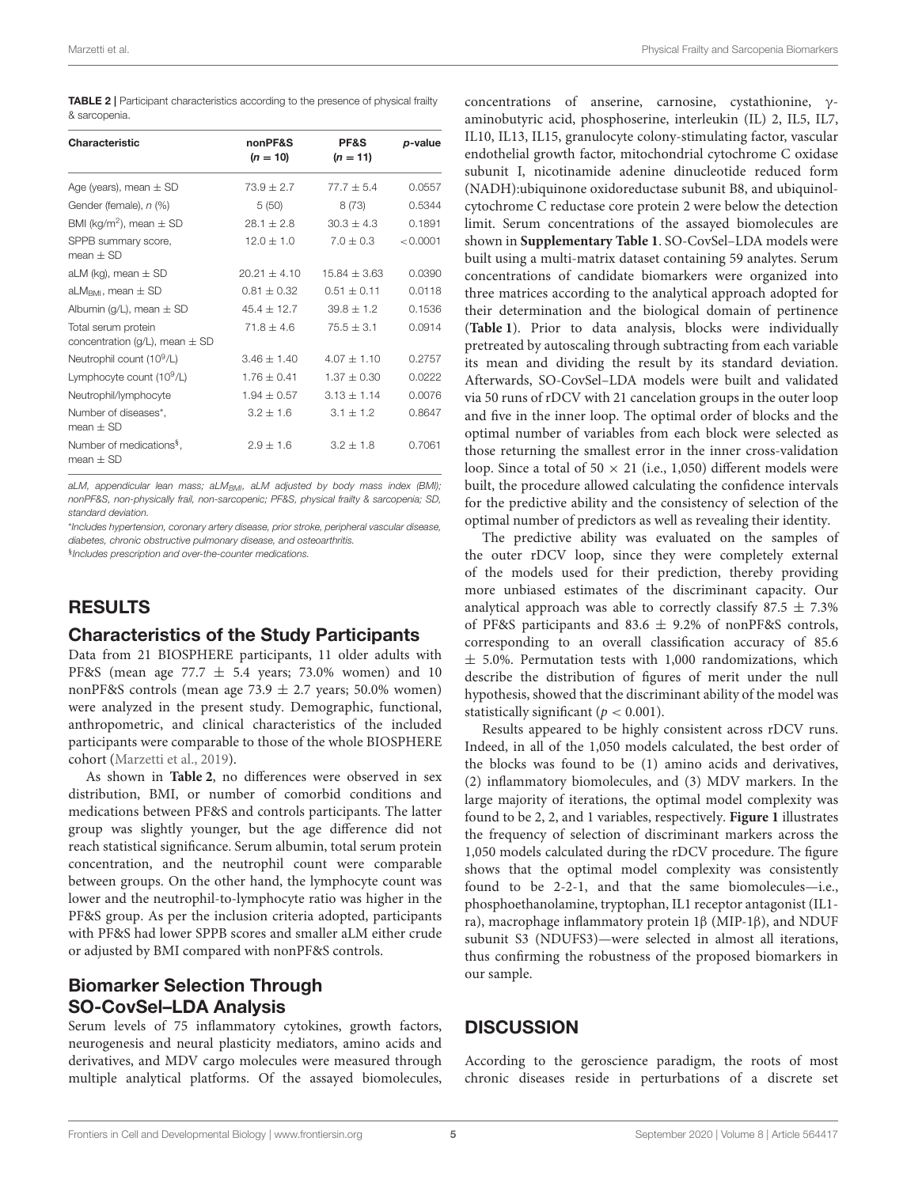<span id="page-4-0"></span>

| <b>TABLE 2</b>   Participant characteristics according to the presence of physical frailty |  |  |  |
|--------------------------------------------------------------------------------------------|--|--|--|
| & sarcopenia.                                                                              |  |  |  |

| Characteristic                                            | nonPF&S<br>$(n = 10)$ | PF&S<br>$(n = 11)$ | p-value  |
|-----------------------------------------------------------|-----------------------|--------------------|----------|
| Age (years), mean $\pm$ SD                                | $73.9 + 2.7$          | $77.7 + 5.4$       | 0.0557   |
| Gender (female), n (%)                                    | 5(50)                 | 8(73)              | 0.5344   |
| BMI (kg/m <sup>2</sup> ), mean $\pm$ SD                   | $28.1 \pm 2.8$        | $30.3 + 4.3$       | 0.1891   |
| SPPB summary score,<br>$mean + SD$                        | $12.0 + 1.0$          | $7.0 + 0.3$        | < 0.0001 |
| aLM (kg), mean $\pm$ SD                                   | $20.21 + 4.10$        | $15.84 + 3.63$     | 0.0390   |
| aLM <sub>RMI</sub> , mean $\pm$ SD                        | $0.81 \pm 0.32$       | $0.51 + 0.11$      | 0.0118   |
| Albumin (g/L), mean $\pm$ SD                              | $45.4 + 12.7$         | $39.8 + 1.2$       | 0.1536   |
| Total serum protein<br>concentration (g/L), mean $\pm$ SD | $71.8 + 4.6$          | $75.5 + 3.1$       | 0.0914   |
| Neutrophil count (10 <sup>9</sup> /L)                     | $3.46 + 1.40$         | $4.07 + 1.10$      | 0.2757   |
| Lymphocyte count $(10^9/L)$                               | $1.76 + 0.41$         | $1.37 + 0.30$      | 0.0222   |
| Neutrophil/lymphocyte                                     | $1.94 + 0.57$         | $3.13 + 1.14$      | 0.0076   |
| Number of diseases*,<br>$mean + SD$                       | $3.2 + 1.6$           | $3.1 + 1.2$        | 0.8647   |
| Number of medications <sup>§</sup> ,<br>$mean + SD$       | $2.9 + 1.6$           | $3.2 + 1.8$        | 0.7061   |

aLM, appendicular lean mass; aLM $_{BMI}$ , aLM adjusted by body mass index (BMI); nonPF&S, non-physically frail, non-sarcopenic; PF&S, physical frailty & sarcopenia; SD, standard deviation.

\*Includes hypertension, coronary artery disease, prior stroke, peripheral vascular disease, diabetes, chronic obstructive pulmonary disease, and osteoarthritis.

§ Includes prescription and over-the-counter medications.

### RESULTS

#### Characteristics of the Study Participants

Data from 21 BIOSPHERE participants, 11 older adults with PF&S (mean age  $77.7 \pm 5.4$  years; 73.0% women) and 10 nonPF&S controls (mean age  $73.9 \pm 2.7$  years; 50.0% women) were analyzed in the present study. Demographic, functional, anthropometric, and clinical characteristics of the included participants were comparable to those of the whole BIOSPHERE cohort [\(Marzetti et al., 2019\)](#page-8-3).

As shown in **[Table 2](#page-4-0)**, no differences were observed in sex distribution, BMI, or number of comorbid conditions and medications between PF&S and controls participants. The latter group was slightly younger, but the age difference did not reach statistical significance. Serum albumin, total serum protein concentration, and the neutrophil count were comparable between groups. On the other hand, the lymphocyte count was lower and the neutrophil-to-lymphocyte ratio was higher in the PF&S group. As per the inclusion criteria adopted, participants with PF&S had lower SPPB scores and smaller aLM either crude or adjusted by BMI compared with nonPF&S controls.

## Biomarker Selection Through SO-CovSel–LDA Analysis

Serum levels of 75 inflammatory cytokines, growth factors, neurogenesis and neural plasticity mediators, amino acids and derivatives, and MDV cargo molecules were measured through multiple analytical platforms. Of the assayed biomolecules,

concentrations of anserine, carnosine, cystathionine, γaminobutyric acid, phosphoserine, interleukin (IL) 2, IL5, IL7, IL10, IL13, IL15, granulocyte colony-stimulating factor, vascular endothelial growth factor, mitochondrial cytochrome C oxidase subunit I, nicotinamide adenine dinucleotide reduced form (NADH):ubiquinone oxidoreductase subunit B8, and ubiquinolcytochrome C reductase core protein 2 were below the detection limit. Serum concentrations of the assayed biomolecules are shown in **[Supplementary Table 1](#page-7-13)**. SO-CovSel–LDA models were built using a multi-matrix dataset containing 59 analytes. Serum concentrations of candidate biomarkers were organized into three matrices according to the analytical approach adopted for their determination and the biological domain of pertinence (**[Table 1](#page-2-0)**). Prior to data analysis, blocks were individually pretreated by autoscaling through subtracting from each variable its mean and dividing the result by its standard deviation. Afterwards, SO-CovSel–LDA models were built and validated via 50 runs of rDCV with 21 cancelation groups in the outer loop and five in the inner loop. The optimal order of blocks and the optimal number of variables from each block were selected as those returning the smallest error in the inner cross-validation loop. Since a total of 50  $\times$  21 (i.e., 1,050) different models were built, the procedure allowed calculating the confidence intervals for the predictive ability and the consistency of selection of the optimal number of predictors as well as revealing their identity.

The predictive ability was evaluated on the samples of the outer rDCV loop, since they were completely external of the models used for their prediction, thereby providing more unbiased estimates of the discriminant capacity. Our analytical approach was able to correctly classify  $87.5 \pm 7.3\%$ of PF&S participants and 83.6  $\pm$  9.2% of nonPF&S controls, corresponding to an overall classification accuracy of 85.6  $\pm$  5.0%. Permutation tests with 1,000 randomizations, which describe the distribution of figures of merit under the null hypothesis, showed that the discriminant ability of the model was statistically significant ( $p < 0.001$ ).

Results appeared to be highly consistent across rDCV runs. Indeed, in all of the 1,050 models calculated, the best order of the blocks was found to be (1) amino acids and derivatives, (2) inflammatory biomolecules, and (3) MDV markers. In the large majority of iterations, the optimal model complexity was found to be 2, 2, and 1 variables, respectively. **[Figure 1](#page-5-0)** illustrates the frequency of selection of discriminant markers across the 1,050 models calculated during the rDCV procedure. The figure shows that the optimal model complexity was consistently found to be 2-2-1, and that the same biomolecules—i.e., phosphoethanolamine, tryptophan, IL1 receptor antagonist (IL1 ra), macrophage inflammatory protein 1β (MIP-1β), and NDUF subunit S3 (NDUFS3)—were selected in almost all iterations, thus confirming the robustness of the proposed biomarkers in our sample.

#### **DISCUSSION**

According to the geroscience paradigm, the roots of most chronic diseases reside in perturbations of a discrete set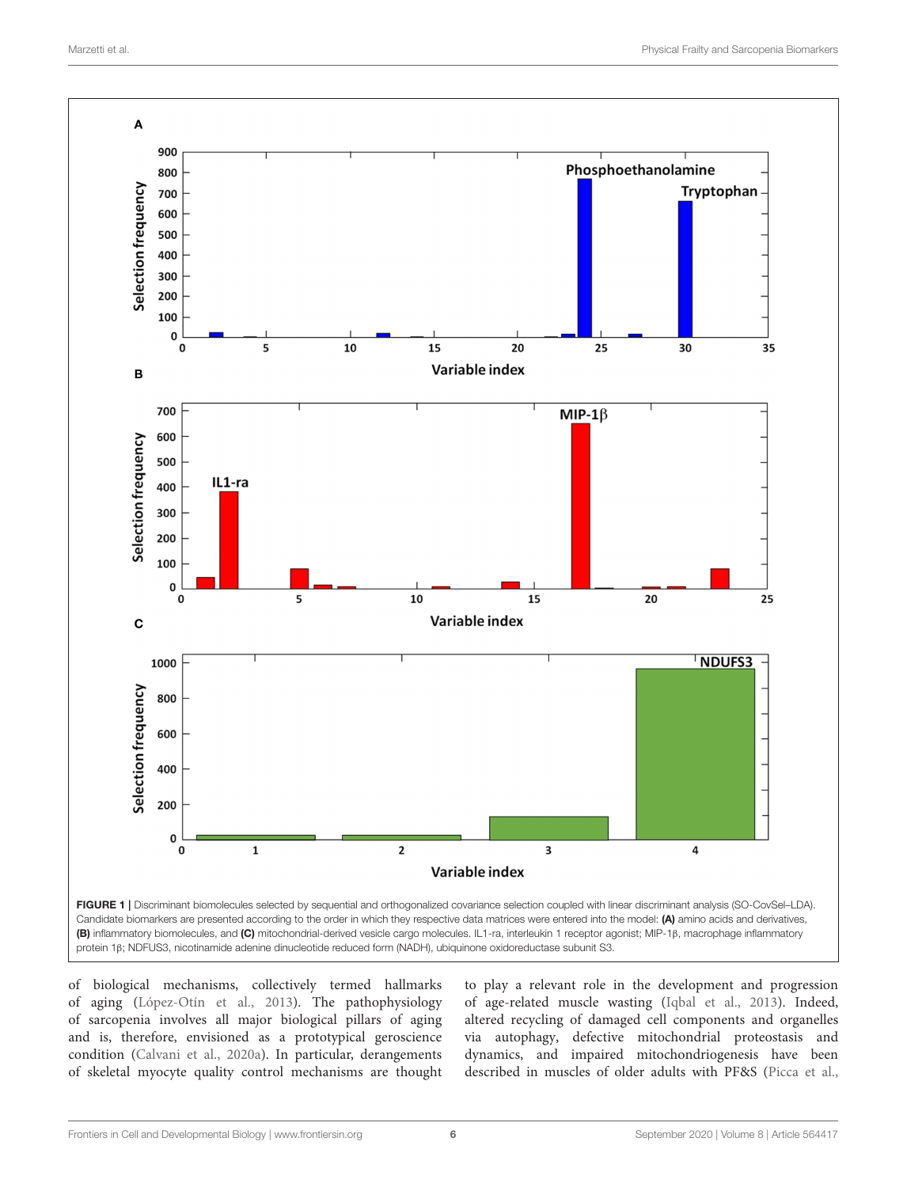

<span id="page-5-0"></span>of biological mechanisms, collectively termed hallmarks of aging [\(López-Otín et al., 2013\)](#page-8-6). The pathophysiology of sarcopenia involves all major biological pillars of aging and is, therefore, envisioned as a prototypical geroscience condition [\(Calvani et al., 2020a\)](#page-7-9). In particular, derangements of skeletal myocyte quality control mechanisms are thought to play a relevant role in the development and progression of age-related muscle wasting [\(Iqbal et al., 2013\)](#page-8-21). Indeed, altered recycling of damaged cell components and organelles via autophagy, defective mitochondrial proteostasis and dynamics, and impaired mitochondriogenesis have been described in muscles of older adults with PF&S [\(Picca et al.,](#page-8-14)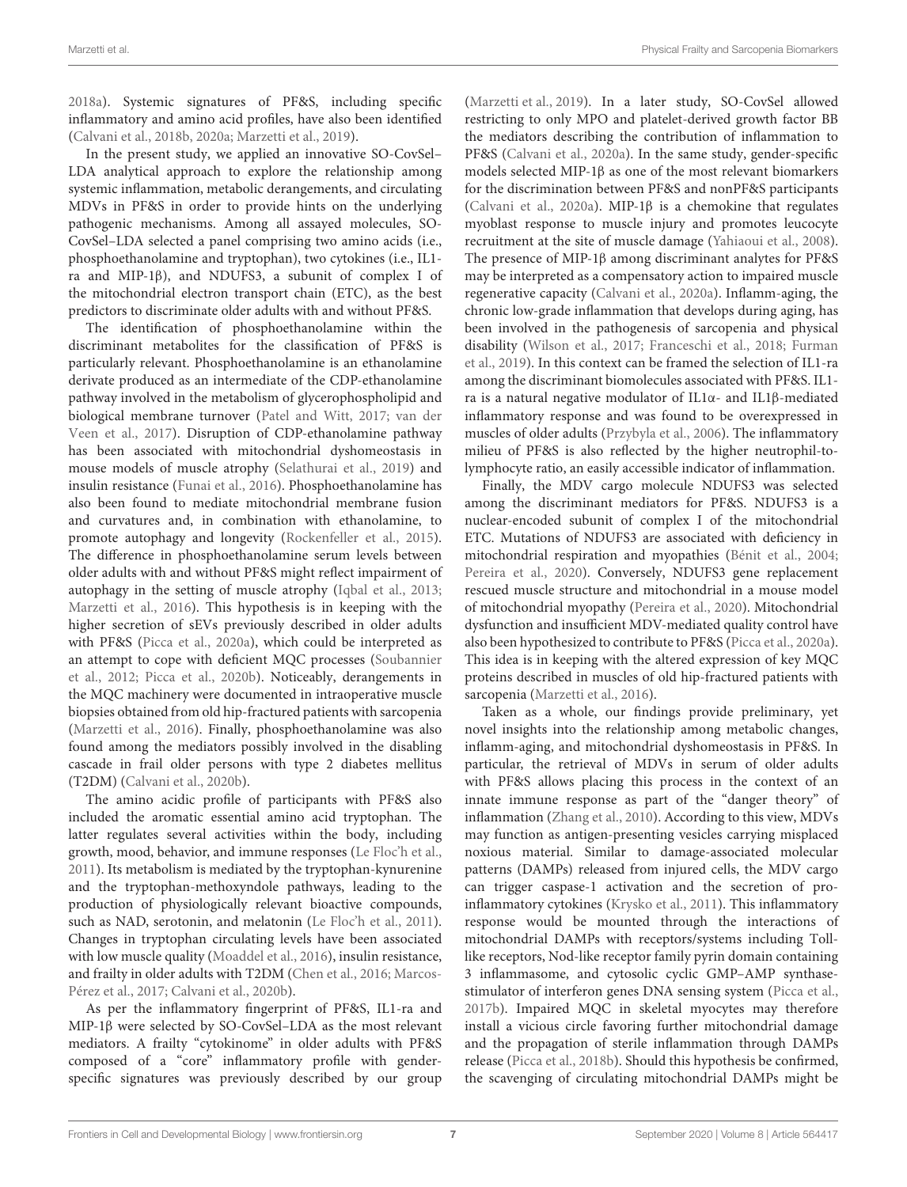[2018a\)](#page-8-14). Systemic signatures of PF&S, including specific inflammatory and amino acid profiles, have also been identified [\(Calvani et al., 2018b,](#page-7-4) [2020a;](#page-7-9) [Marzetti et al., 2019\)](#page-8-3).

In the present study, we applied an innovative SO-CovSel– LDA analytical approach to explore the relationship among systemic inflammation, metabolic derangements, and circulating MDVs in PF&S in order to provide hints on the underlying pathogenic mechanisms. Among all assayed molecules, SO-CovSel–LDA selected a panel comprising two amino acids (i.e., phosphoethanolamine and tryptophan), two cytokines (i.e., IL1 ra and MIP-1β), and NDUFS3, a subunit of complex I of the mitochondrial electron transport chain (ETC), as the best predictors to discriminate older adults with and without PF&S.

The identification of phosphoethanolamine within the discriminant metabolites for the classification of PF&S is particularly relevant. Phosphoethanolamine is an ethanolamine derivate produced as an intermediate of the CDP-ethanolamine pathway involved in the metabolism of glycerophospholipid and biological membrane turnover [\(Patel and Witt, 2017;](#page-8-22) van der Veen et al., [2017\)](#page-9-3). Disruption of CDP-ethanolamine pathway has been associated with mitochondrial dyshomeostasis in mouse models of muscle atrophy [\(Selathurai et al., 2019\)](#page-8-23) and insulin resistance [\(Funai et al., 2016\)](#page-8-24). Phosphoethanolamine has also been found to mediate mitochondrial membrane fusion and curvatures and, in combination with ethanolamine, to promote autophagy and longevity [\(Rockenfeller et al., 2015\)](#page-8-25). The difference in phosphoethanolamine serum levels between older adults with and without PF&S might reflect impairment of autophagy in the setting of muscle atrophy [\(Iqbal et al., 2013;](#page-8-21) [Marzetti et al., 2016\)](#page-8-2). This hypothesis is in keeping with the higher secretion of sEVs previously described in older adults with PF&S [\(Picca et al., 2020a\)](#page-8-5), which could be interpreted as an attempt to cope with deficient MQC processes (Soubannier et al., [2012;](#page-9-4) [Picca et al., 2020b\)](#page-8-16). Noticeably, derangements in the MQC machinery were documented in intraoperative muscle biopsies obtained from old hip-fractured patients with sarcopenia [\(Marzetti et al., 2016\)](#page-8-2). Finally, phosphoethanolamine was also found among the mediators possibly involved in the disabling cascade in frail older persons with type 2 diabetes mellitus (T2DM) [\(Calvani et al., 2020b\)](#page-7-14).

The amino acidic profile of participants with PF&S also included the aromatic essential amino acid tryptophan. The latter regulates several activities within the body, including growth, mood, behavior, and immune responses [\(Le Floc'h et al.,](#page-8-26) [2011\)](#page-8-26). Its metabolism is mediated by the tryptophan-kynurenine and the tryptophan-methoxyndole pathways, leading to the production of physiologically relevant bioactive compounds, such as NAD, serotonin, and melatonin [\(Le Floc'h et al., 2011\)](#page-8-26). Changes in tryptophan circulating levels have been associated with low muscle quality [\(Moaddel et al., 2016\)](#page-8-27), insulin resistance, and frailty in older adults with T2DM [\(Chen et al., 2016;](#page-7-15) Marcos-Pérez et al., [2017;](#page-8-28) [Calvani et al., 2020b\)](#page-7-14).

As per the inflammatory fingerprint of PF&S, IL1-ra and MIP-1β were selected by SO-CovSel–LDA as the most relevant mediators. A frailty "cytokinome" in older adults with PF&S composed of a "core" inflammatory profile with genderspecific signatures was previously described by our group [\(Marzetti et al., 2019\)](#page-8-3). In a later study, SO-CovSel allowed restricting to only MPO and platelet-derived growth factor BB the mediators describing the contribution of inflammation to PF&S [\(Calvani et al., 2020a\)](#page-7-9). In the same study, gender-specific models selected MIP-1β as one of the most relevant biomarkers for the discrimination between PF&S and nonPF&S participants [\(Calvani et al., 2020a\)](#page-7-9). MIP-1β is a chemokine that regulates myoblast response to muscle injury and promotes leucocyte recruitment at the site of muscle damage [\(Yahiaoui et al., 2008\)](#page-9-5). The presence of MIP-1β among discriminant analytes for PF&S may be interpreted as a compensatory action to impaired muscle regenerative capacity [\(Calvani et al., 2020a\)](#page-7-9). Inflamm-aging, the chronic low-grade inflammation that develops during aging, has been involved in the pathogenesis of sarcopenia and physical disability [\(Wilson et al., 2017;](#page-9-6) [Franceschi et al., 2018;](#page-8-29) Furman et al., [2019\)](#page-8-30). In this context can be framed the selection of IL1-ra among the discriminant biomolecules associated with PF&S. IL1 ra is a natural negative modulator of IL1α- and IL1β-mediated inflammatory response and was found to be overexpressed in muscles of older adults [\(Przybyla et al., 2006\)](#page-8-31). The inflammatory milieu of PF&S is also reflected by the higher neutrophil-tolymphocyte ratio, an easily accessible indicator of inflammation.

Finally, the MDV cargo molecule NDUFS3 was selected among the discriminant mediators for PF&S. NDUFS3 is a nuclear-encoded subunit of complex I of the mitochondrial ETC. Mutations of NDUFS3 are associated with deficiency in mitochondrial respiration and myopathies [\(Bénit et al., 2004;](#page-7-16) [Pereira et al., 2020\)](#page-8-32). Conversely, NDUFS3 gene replacement rescued muscle structure and mitochondrial in a mouse model of mitochondrial myopathy [\(Pereira et al., 2020\)](#page-8-32). Mitochondrial dysfunction and insufficient MDV-mediated quality control have also been hypothesized to contribute to PF&S [\(Picca et al., 2020a\)](#page-8-5). This idea is in keeping with the altered expression of key MQC proteins described in muscles of old hip-fractured patients with sarcopenia [\(Marzetti et al., 2016\)](#page-8-2).

Taken as a whole, our findings provide preliminary, yet novel insights into the relationship among metabolic changes, inflamm-aging, and mitochondrial dyshomeostasis in PF&S. In particular, the retrieval of MDVs in serum of older adults with PF&S allows placing this process in the context of an innate immune response as part of the "danger theory" of inflammation [\(Zhang et al., 2010\)](#page-9-7). According to this view, MDVs may function as antigen-presenting vesicles carrying misplaced noxious material. Similar to damage-associated molecular patterns (DAMPs) released from injured cells, the MDV cargo can trigger caspase-1 activation and the secretion of proinflammatory cytokines [\(Krysko et al., 2011\)](#page-8-33). This inflammatory response would be mounted through the interactions of mitochondrial DAMPs with receptors/systems including Tolllike receptors, Nod-like receptor family pyrin domain containing 3 inflammasome, and cytosolic cyclic GMP–AMP synthasestimulator of interferon genes DNA sensing system [\(Picca et al.,](#page-8-34) [2017b\)](#page-8-34). Impaired MQC in skeletal myocytes may therefore install a vicious circle favoring further mitochondrial damage and the propagation of sterile inflammation through DAMPs release [\(Picca et al., 2018b\)](#page-8-35). Should this hypothesis be confirmed, the scavenging of circulating mitochondrial DAMPs might be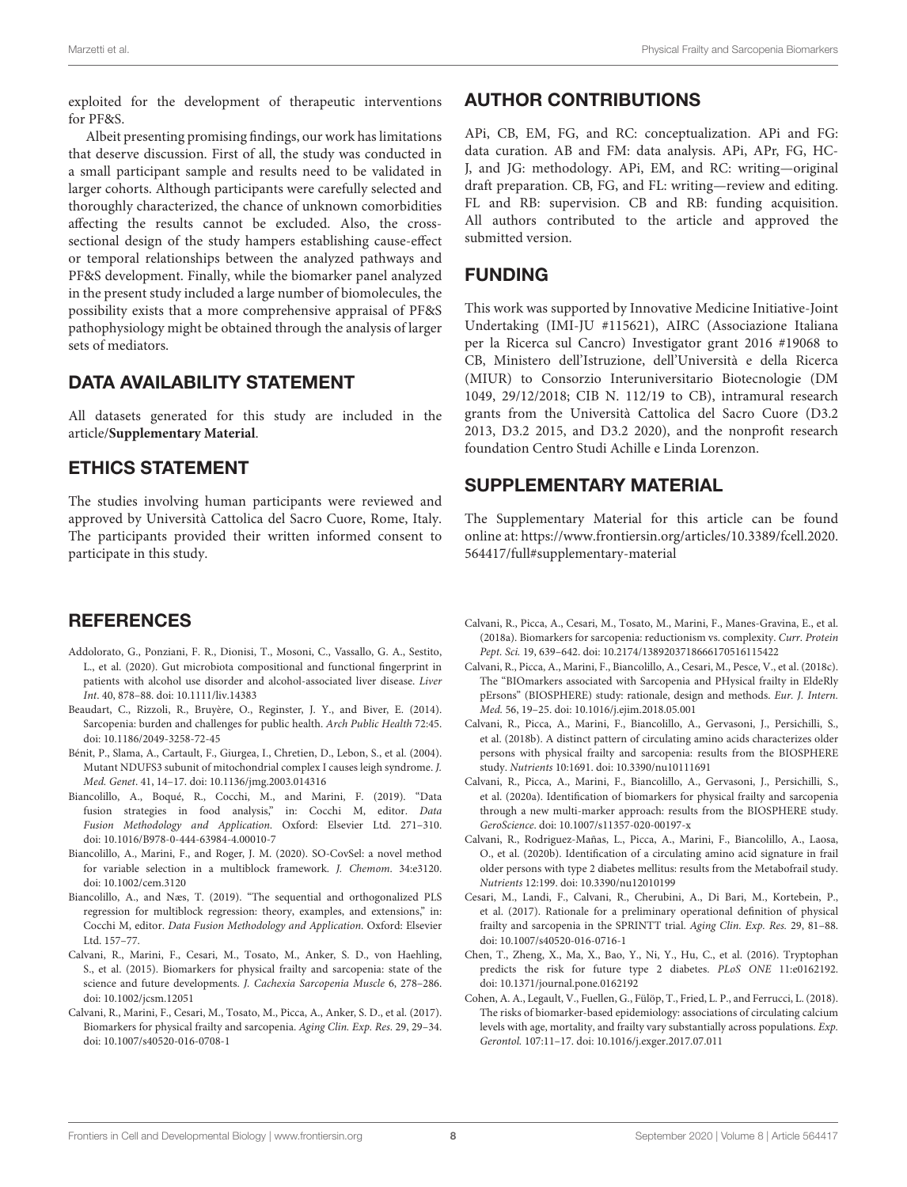exploited for the development of therapeutic interventions for PF&S.

Albeit presenting promising findings, our work has limitations that deserve discussion. First of all, the study was conducted in a small participant sample and results need to be validated in larger cohorts. Although participants were carefully selected and thoroughly characterized, the chance of unknown comorbidities affecting the results cannot be excluded. Also, the crosssectional design of the study hampers establishing cause-effect or temporal relationships between the analyzed pathways and PF&S development. Finally, while the biomarker panel analyzed in the present study included a large number of biomolecules, the possibility exists that a more comprehensive appraisal of PF&S pathophysiology might be obtained through the analysis of larger sets of mediators.

### DATA AVAILABILITY STATEMENT

All datasets generated for this study are included in the article/**[Supplementary Material](#page-7-13)**.

## ETHICS STATEMENT

The studies involving human participants were reviewed and approved by Università Cattolica del Sacro Cuore, Rome, Italy. The participants provided their written informed consent to participate in this study.

# **REFERENCES**

- <span id="page-7-10"></span>Addolorato, G., Ponziani, F. R., Dionisi, T., Mosoni, C., Vassallo, G. A., Sestito, L., et al. (2020). Gut microbiota compositional and functional fingerprint in patients with alcohol use disorder and alcohol-associated liver disease. Liver Int. 40, 878–88. doi: [10.1111/liv.14383](https://doi.org/10.1111/liv.14383)
- <span id="page-7-0"></span>Beaudart, C., Rizzoli, R., Bruyère, O., Reginster, J. Y., and Biver, E. (2014). Sarcopenia: burden and challenges for public health. Arch Public Health 72:45. doi: [10.1186/2049-3258-72-45](https://doi.org/10.1186/2049-3258-72-45)
- <span id="page-7-16"></span>Bénit, P., Slama, A., Cartault, F., Giurgea, I., Chretien, D., Lebon, S., et al. (2004). Mutant NDUFS3 subunit of mitochondrial complex I causes leigh syndrome. J. Med. Genet. 41, 14–17. doi: [10.1136/jmg.2003.014316](https://doi.org/10.1136/jmg.2003.014316)
- <span id="page-7-12"></span>Biancolillo, A., Boqué, R., Cocchi, M., and Marini, F. (2019). "Data fusion strategies in food analysis," in: Cocchi M, editor. Data Fusion Methodology and Application. Oxford: Elsevier Ltd. 271–310. doi: [10.1016/B978-0-444-63984-4.00010-7](https://doi.org/10.1016/B978-0-444-63984-4.00010-7)
- <span id="page-7-8"></span>Biancolillo, A., Marini, F., and Roger, J. M. (2020). SO-CovSel: a novel method for variable selection in a multiblock framework. J. Chemom. 34:e3120. doi: [10.1002/cem.3120](https://doi.org/10.1002/cem.3120)
- <span id="page-7-11"></span>Biancolillo, A., and Næs, T. (2019). "The sequential and orthogonalized PLS regression for multiblock regression: theory, examples, and extensions," in: Cocchi M, editor. Data Fusion Methodology and Application. Oxford: Elsevier Ltd. 157–77.
- <span id="page-7-6"></span>Calvani, R., Marini, F., Cesari, M., Tosato, M., Anker, S. D., von Haehling, S., et al. (2015). Biomarkers for physical frailty and sarcopenia: state of the science and future developments. J. Cachexia Sarcopenia Muscle 6, 278–286. doi: [10.1002/jcsm.12051](https://doi.org/10.1002/jcsm.12051)
- <span id="page-7-2"></span>Calvani, R., Marini, F., Cesari, M., Tosato, M., Picca, A., Anker, S. D., et al. (2017). Biomarkers for physical frailty and sarcopenia. Aging Clin. Exp. Res. 29, 29–34. doi: [10.1007/s40520-016-0708-1](https://doi.org/10.1007/s40520-016-0708-1)

# AUTHOR CONTRIBUTIONS

APi, CB, EM, FG, and RC: conceptualization. APi and FG: data curation. AB and FM: data analysis. APi, APr, FG, HC-J, and JG: methodology. APi, EM, and RC: writing—original draft preparation. CB, FG, and FL: writing—review and editing. FL and RB: supervision. CB and RB: funding acquisition. All authors contributed to the article and approved the submitted version.

## FUNDING

This work was supported by Innovative Medicine Initiative-Joint Undertaking (IMI-JU #115621), AIRC (Associazione Italiana per la Ricerca sul Cancro) Investigator grant 2016 #19068 to CB, Ministero dell'Istruzione, dell'Università e della Ricerca (MIUR) to Consorzio Interuniversitario Biotecnologie (DM 1049, 29/12/2018; CIB N. 112/19 to CB), intramural research grants from the Università Cattolica del Sacro Cuore (D3.2 2013, D3.2 2015, and D3.2 2020), and the nonprofit research foundation Centro Studi Achille e Linda Lorenzon.

## SUPPLEMENTARY MATERIAL

<span id="page-7-13"></span>The Supplementary Material for this article can be found [online at: https://www.frontiersin.org/articles/10.3389/fcell.2020.](https://www.frontiersin.org/articles/10.3389/fcell.2020.564417/full#supplementary-material) 564417/full#supplementary-material

- <span id="page-7-1"></span>Calvani, R., Picca, A., Cesari, M., Tosato, M., Marini, F., Manes-Gravina, E., et al. (2018a). Biomarkers for sarcopenia: reductionism vs. complexity. Curr. Protein Pept. Sci. 19, 639–642. doi: [10.2174/1389203718666170516115422](https://doi.org/10.2174/1389203718666170516115422)
- <span id="page-7-7"></span>Calvani, R., Picca, A., Marini, F., Biancolillo, A., Cesari, M., Pesce, V., et al. (2018c). The "BIOmarkers associated with Sarcopenia and PHysical frailty in EldeRly pErsons" (BIOSPHERE) study: rationale, design and methods. Eur. J. Intern. Med. 56, 19–25. doi: [10.1016/j.ejim.2018.05.001](https://doi.org/10.1016/j.ejim.2018.05.001)
- <span id="page-7-4"></span>Calvani, R., Picca, A., Marini, F., Biancolillo, A., Gervasoni, J., Persichilli, S., et al. (2018b). A distinct pattern of circulating amino acids characterizes older persons with physical frailty and sarcopenia: results from the BIOSPHERE study. Nutrients 10:1691. doi: [10.3390/nu10111691](https://doi.org/10.3390/nu10111691)
- <span id="page-7-9"></span>Calvani, R., Picca, A., Marini, F., Biancolillo, A., Gervasoni, J., Persichilli, S., et al. (2020a). Identification of biomarkers for physical frailty and sarcopenia through a new multi-marker approach: results from the BIOSPHERE study. GeroScience. doi: [10.1007/s11357-020-00197-x](https://doi.org/10.1007/s11357-020-00197-x)
- <span id="page-7-14"></span>Calvani, R., Rodriguez-Mañas, L., Picca, A., Marini, F., Biancolillo, A., Laosa, O., et al. (2020b). Identification of a circulating amino acid signature in frail older persons with type 2 diabetes mellitus: results from the Metabofrail study. Nutrients 12:199. doi: [10.3390/nu12010199](https://doi.org/10.3390/nu12010199)
- <span id="page-7-3"></span>Cesari, M., Landi, F., Calvani, R., Cherubini, A., Di Bari, M., Kortebein, P., et al. (2017). Rationale for a preliminary operational definition of physical frailty and sarcopenia in the SPRINTT trial. Aging Clin. Exp. Res. 29, 81–88. doi: [10.1007/s40520-016-0716-1](https://doi.org/10.1007/s40520-016-0716-1)
- <span id="page-7-15"></span>Chen, T., Zheng, X., Ma, X., Bao, Y., Ni, Y., Hu, C., et al. (2016). Tryptophan predicts the risk for future type 2 diabetes. PLoS ONE 11:e0162192. doi: [10.1371/journal.pone.0162192](https://doi.org/10.1371/journal.pone.0162192)
- <span id="page-7-5"></span>Cohen, A. A., Legault, V., Fuellen, G., Fülöp, T., Fried, L. P., and Ferrucci, L. (2018). The risks of biomarker-based epidemiology: associations of circulating calcium levels with age, mortality, and frailty vary substantially across populations. Exp. Gerontol. 107:11–17. doi: [10.1016/j.exger.2017.07.011](https://doi.org/10.1016/j.exger.2017.07.011)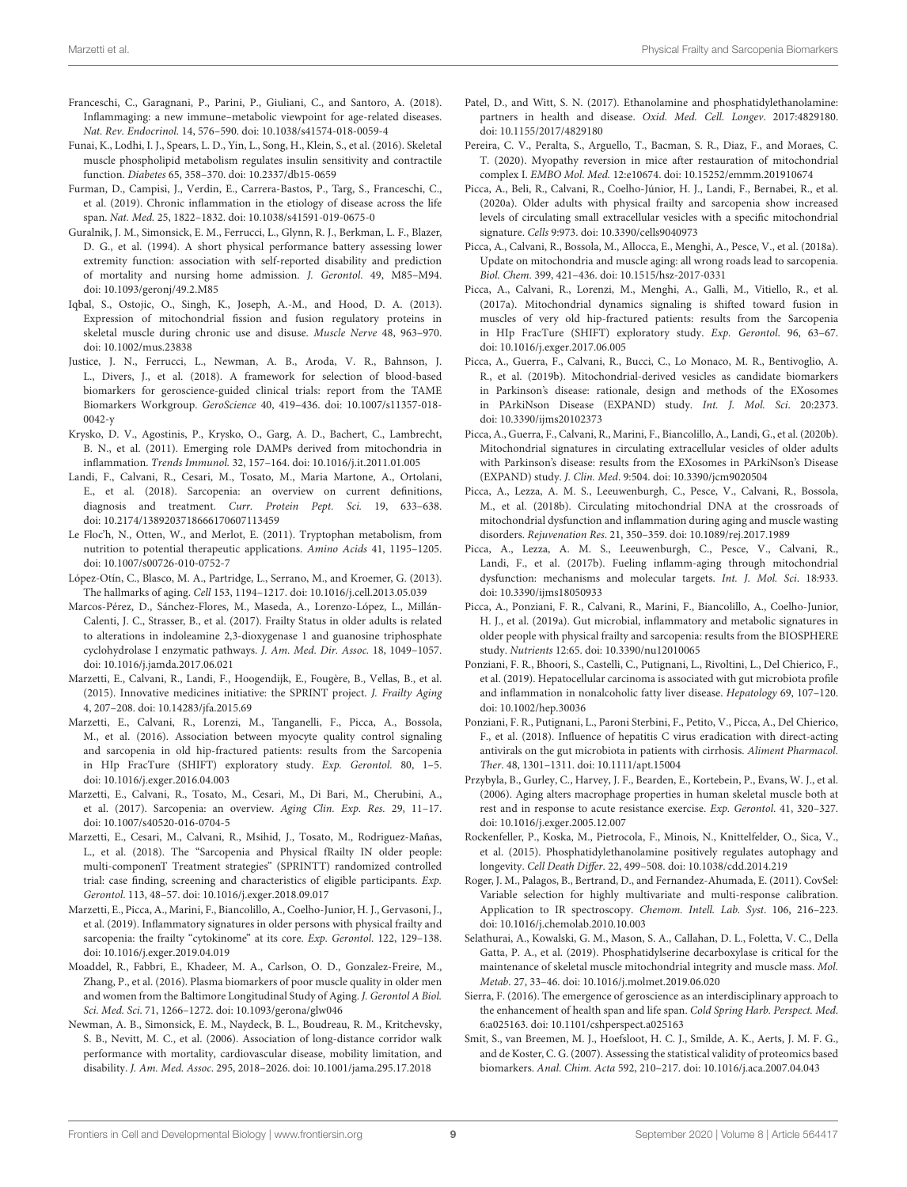- <span id="page-8-29"></span>Franceschi, C., Garagnani, P., Parini, P., Giuliani, C., and Santoro, A. (2018). Inflammaging: a new immune–metabolic viewpoint for age-related diseases. Nat. Rev. Endocrinol. 14, 576–590. doi: [10.1038/s41574-018-0059-4](https://doi.org/10.1038/s41574-018-0059-4)
- <span id="page-8-24"></span>Funai, K., Lodhi, I. J., Spears, L. D., Yin, L., Song, H., Klein, S., et al. (2016). Skeletal muscle phospholipid metabolism regulates insulin sensitivity and contractile function. Diabetes 65, 358–370. doi: [10.2337/db15-0659](https://doi.org/10.2337/db15-0659)
- <span id="page-8-30"></span>Furman, D., Campisi, J., Verdin, E., Carrera-Bastos, P., Targ, S., Franceschi, C., et al. (2019). Chronic inflammation in the etiology of disease across the life span. Nat. Med. 25, 1822–1832. doi: [10.1038/s41591-019-0675-0](https://doi.org/10.1038/s41591-019-0675-0)
- <span id="page-8-12"></span>Guralnik, J. M., Simonsick, E. M., Ferrucci, L., Glynn, R. J., Berkman, L. F., Blazer, D. G., et al. (1994). A short physical performance battery assessing lower extremity function: association with self-reported disability and prediction of mortality and nursing home admission. J. Gerontol. 49, M85–M94. doi: [10.1093/geronj/49.2.M85](https://doi.org/10.1093/geronj/49.2.M85)
- <span id="page-8-21"></span>Iqbal, S., Ostojic, O., Singh, K., Joseph, A.-M., and Hood, D. A. (2013). Expression of mitochondrial fission and fusion regulatory proteins in skeletal muscle during chronic use and disuse. Muscle Nerve 48, 963–970. doi: [10.1002/mus.23838](https://doi.org/10.1002/mus.23838)
- <span id="page-8-8"></span>Justice, J. N., Ferrucci, L., Newman, A. B., Aroda, V. R., Bahnson, J. L., Divers, J., et al. (2018). A framework for selection of blood-based biomarkers for geroscience-guided clinical trials: report from the TAME Biomarkers Workgroup. GeroScience [40, 419–436. doi: 10.1007/s11357-018-](https://doi.org/10.1007/s11357-018-0042-y)  $0042-v$
- <span id="page-8-33"></span>Krysko, D. V., Agostinis, P., Krysko, O., Garg, A. D., Bachert, C., Lambrecht, B. N., et al. (2011). Emerging role DAMPs derived from mitochondria in inflammation. Trends Immunol. 32, 157–164. doi: [10.1016/j.it.2011.01.005](https://doi.org/10.1016/j.it.2011.01.005)
- <span id="page-8-1"></span>Landi, F., Calvani, R., Cesari, M., Tosato, M., Maria Martone, A., Ortolani, E., et al. (2018). Sarcopenia: an overview on current definitions, diagnosis and treatment. Curr. Protein Pept. Sci. 19, 633–638. doi: [10.2174/1389203718666170607113459](https://doi.org/10.2174/1389203718666170607113459)
- <span id="page-8-26"></span>Le Floc'h, N., Otten, W., and Merlot, E. (2011). Tryptophan metabolism, from nutrition to potential therapeutic applications. Amino Acids 41, 1195–1205. doi: [10.1007/s00726-010-0752-7](https://doi.org/10.1007/s00726-010-0752-7)
- <span id="page-8-6"></span>López-Otín, C., Blasco, M. A., Partridge, L., Serrano, M., and Kroemer, G. (2013). The hallmarks of aging. Cell 153, 1194–1217. doi: [10.1016/j.cell.2013.05.039](https://doi.org/10.1016/j.cell.2013.05.039)
- <span id="page-8-28"></span>Marcos-Pérez, D., Sánchez-Flores, M., Maseda, A., Lorenzo-López, L., Millán-Calenti, J. C., Strasser, B., et al. (2017). Frailty Status in older adults is related to alterations in indoleamine 2,3-dioxygenase 1 and guanosine triphosphate cyclohydrolase I enzymatic pathways. J. Am. Med. Dir. Assoc. 18, 1049–1057. doi: [10.1016/j.jamda.2017.06.021](https://doi.org/10.1016/j.jamda.2017.06.021)
- <span id="page-8-10"></span>Marzetti, E., Calvani, R., Landi, F., Hoogendijk, E., Fougère, B., Vellas, B., et al. (2015). Innovative medicines initiative: the SPRINT project. J. Frailty Aging 4, 207–208. doi: [10.14283/jfa.2015.69](https://doi.org/10.14283/jfa.2015.69)
- <span id="page-8-2"></span>Marzetti, E., Calvani, R., Lorenzi, M., Tanganelli, F., Picca, A., Bossola, M., et al. (2016). Association between myocyte quality control signaling and sarcopenia in old hip-fractured patients: results from the Sarcopenia in HIp FracTure (SHIFT) exploratory study. Exp. Gerontol. 80, 1–5. doi: [10.1016/j.exger.2016.04.003](https://doi.org/10.1016/j.exger.2016.04.003)
- <span id="page-8-0"></span>Marzetti, E., Calvani, R., Tosato, M., Cesari, M., Di Bari, M., Cherubini, A., et al. (2017). Sarcopenia: an overview. Aging Clin. Exp. Res. 29, 11–17. doi: [10.1007/s40520-016-0704-5](https://doi.org/10.1007/s40520-016-0704-5)
- <span id="page-8-11"></span>Marzetti, E., Cesari, M., Calvani, R., Msihid, J., Tosato, M., Rodriguez-Mañas, L., et al. (2018). The "Sarcopenia and Physical fRailty IN older people: multi-componenT Treatment strategies" (SPRINTT) randomized controlled trial: case finding, screening and characteristics of eligible participants. Exp. Gerontol. 113, 48–57. doi: [10.1016/j.exger.2018.09.017](https://doi.org/10.1016/j.exger.2018.09.017)
- <span id="page-8-3"></span>Marzetti, E., Picca, A., Marini, F., Biancolillo, A., Coelho-Junior, H. J., Gervasoni, J., et al. (2019). Inflammatory signatures in older persons with physical frailty and sarcopenia: the frailty "cytokinome" at its core. Exp. Gerontol. 122, 129-138. doi: [10.1016/j.exger.2019.04.019](https://doi.org/10.1016/j.exger.2019.04.019)
- <span id="page-8-27"></span>Moaddel, R., Fabbri, E., Khadeer, M. A., Carlson, O. D., Gonzalez-Freire, M., Zhang, P., et al. (2016). Plasma biomarkers of poor muscle quality in older men and women from the Baltimore Longitudinal Study of Aging. J. Gerontol A Biol. Sci. Med. Sci. 71, 1266–1272. doi: [10.1093/gerona/glw046](https://doi.org/10.1093/gerona/glw046)
- <span id="page-8-13"></span>Newman, A. B., Simonsick, E. M., Naydeck, B. L., Boudreau, R. M., Kritchevsky, S. B., Nevitt, M. C., et al. (2006). Association of long-distance corridor walk performance with mortality, cardiovascular disease, mobility limitation, and disability. J. Am. Med. Assoc. 295, 2018–2026. doi: [10.1001/jama.295.17.2018](https://doi.org/10.1001/jama.295.17.2018)
- <span id="page-8-22"></span>Patel, D., and Witt, S. N. (2017). Ethanolamine and phosphatidylethanolamine: partners in health and disease. Oxid. Med. Cell. Longev. 2017:4829180. doi: [10.1155/2017/4829180](https://doi.org/10.1155/2017/4829180)
- <span id="page-8-32"></span>Pereira, C. V., Peralta, S., Arguello, T., Bacman, S. R., Diaz, F., and Moraes, C. T. (2020). Myopathy reversion in mice after restauration of mitochondrial complex I. EMBO Mol. Med. 12:e10674. doi: [10.15252/emmm.201910674](https://doi.org/10.15252/emmm.201910674)
- <span id="page-8-5"></span>Picca, A., Beli, R., Calvani, R., Coelho-Júnior, H. J., Landi, F., Bernabei, R., et al. (2020a). Older adults with physical frailty and sarcopenia show increased levels of circulating small extracellular vesicles with a specific mitochondrial signature. Cells 9:973. doi: [10.3390/cells9040973](https://doi.org/10.3390/cells9040973)
- <span id="page-8-14"></span>Picca, A., Calvani, R., Bossola, M., Allocca, E., Menghi, A., Pesce, V., et al. (2018a). Update on mitochondria and muscle aging: all wrong roads lead to sarcopenia. Biol. Chem. 399, 421–436. doi: [10.1515/hsz-2017-0331](https://doi.org/10.1515/hsz-2017-0331)
- <span id="page-8-4"></span>Picca, A., Calvani, R., Lorenzi, M., Menghi, A., Galli, M., Vitiello, R., et al. (2017a). Mitochondrial dynamics signaling is shifted toward fusion in muscles of very old hip-fractured patients: results from the Sarcopenia in HIp FracTure (SHIFT) exploratory study. Exp. Gerontol. 96, 63–67. doi: [10.1016/j.exger.2017.06.005](https://doi.org/10.1016/j.exger.2017.06.005)
- <span id="page-8-15"></span>Picca, A., Guerra, F., Calvani, R., Bucci, C., Lo Monaco, M. R., Bentivoglio, A. R., et al. (2019b). Mitochondrial-derived vesicles as candidate biomarkers in Parkinson's disease: rationale, design and methods of the EXosomes in PArkiNson Disease (EXPAND) study. Int. J. Mol. Sci. 20:2373. doi: [10.3390/ijms20102373](https://doi.org/10.3390/ijms20102373)
- <span id="page-8-16"></span>Picca, A., Guerra, F., Calvani, R., Marini, F., Biancolillo, A., Landi, G., et al. (2020b). Mitochondrial signatures in circulating extracellular vesicles of older adults with Parkinson's disease: results from the EXosomes in PArkiNson's Disease (EXPAND) study. J. Clin. Med. 9:504. doi: [10.3390/jcm9020504](https://doi.org/10.3390/jcm9020504)
- <span id="page-8-35"></span>Picca, A., Lezza, A. M. S., Leeuwenburgh, C., Pesce, V., Calvani, R., Bossola, M., et al. (2018b). Circulating mitochondrial DNA at the crossroads of mitochondrial dysfunction and inflammation during aging and muscle wasting disorders. Rejuvenation Res. 21, 350–359. doi: [10.1089/rej.2017.1989](https://doi.org/10.1089/rej.2017.1989)
- <span id="page-8-34"></span>Picca, A., Lezza, A. M. S., Leeuwenburgh, C., Pesce, V., Calvani, R., Landi, F., et al. (2017b). Fueling inflamm-aging through mitochondrial dysfunction: mechanisms and molecular targets. Int. J. Mol. Sci. 18:933. doi: [10.3390/ijms18050933](https://doi.org/10.3390/ijms18050933)
- <span id="page-8-9"></span>Picca, A., Ponziani, F. R., Calvani, R., Marini, F., Biancolillo, A., Coelho-Junior, H. J., et al. (2019a). Gut microbial, inflammatory and metabolic signatures in older people with physical frailty and sarcopenia: results from the BIOSPHERE study. Nutrients 12:65. doi: [10.3390/nu12010065](https://doi.org/10.3390/nu12010065)
- <span id="page-8-18"></span>Ponziani, F. R., Bhoori, S., Castelli, C., Putignani, L., Rivoltini, L., Del Chierico, F., et al. (2019). Hepatocellular carcinoma is associated with gut microbiota profile and inflammation in nonalcoholic fatty liver disease. Hepatology 69, 107–120. doi: [10.1002/hep.30036](https://doi.org/10.1002/hep.30036)
- <span id="page-8-17"></span>Ponziani, F. R., Putignani, L., Paroni Sterbini, F., Petito, V., Picca, A., Del Chierico, F., et al. (2018). Influence of hepatitis C virus eradication with direct-acting antivirals on the gut microbiota in patients with cirrhosis. Aliment Pharmacol. Ther. 48, 1301–1311. doi: [10.1111/apt.15004](https://doi.org/10.1111/apt.15004)
- <span id="page-8-31"></span>Przybyla, B., Gurley, C., Harvey, J. F., Bearden, E., Kortebein, P., Evans, W. J., et al. (2006). Aging alters macrophage properties in human skeletal muscle both at rest and in response to acute resistance exercise. Exp. Gerontol. 41, 320–327. doi: [10.1016/j.exger.2005.12.007](https://doi.org/10.1016/j.exger.2005.12.007)
- <span id="page-8-25"></span>Rockenfeller, P., Koska, M., Pietrocola, F., Minois, N., Knittelfelder, O., Sica, V., et al. (2015). Phosphatidylethanolamine positively regulates autophagy and longevity. Cell Death Differ. 22, 499–508. doi: [10.1038/cdd.2014.219](https://doi.org/10.1038/cdd.2014.219)
- <span id="page-8-19"></span>Roger, J. M., Palagos, B., Bertrand, D., and Fernandez-Ahumada, E. (2011). CovSel: Variable selection for highly multivariate and multi-response calibration. Application to IR spectroscopy. Chemom. Intell. Lab. Syst. 106, 216-223. doi: [10.1016/j.chemolab.2010.10.003](https://doi.org/10.1016/j.chemolab.2010.10.003)
- <span id="page-8-23"></span>Selathurai, A., Kowalski, G. M., Mason, S. A., Callahan, D. L., Foletta, V. C., Della Gatta, P. A., et al. (2019). Phosphatidylserine decarboxylase is critical for the maintenance of skeletal muscle mitochondrial integrity and muscle mass. Mol. Metab. 27, 33–46. doi: [10.1016/j.molmet.2019.06.020](https://doi.org/10.1016/j.molmet.2019.06.020)
- <span id="page-8-7"></span>Sierra, F. (2016). The emergence of geroscience as an interdisciplinary approach to the enhancement of health span and life span. Cold Spring Harb. Perspect. Med. 6:a025163. doi: [10.1101/cshperspect.a025163](https://doi.org/10.1101/cshperspect.a025163)
- <span id="page-8-20"></span>Smit, S., van Breemen, M. J., Hoefsloot, H. C. J., Smilde, A. K., Aerts, J. M. F. G., and de Koster, C. G. (2007). Assessing the statistical validity of proteomics based biomarkers. Anal. Chim. Acta 592, 210–217. doi: [10.1016/j.aca.2007.04.043](https://doi.org/10.1016/j.aca.2007.04.043)